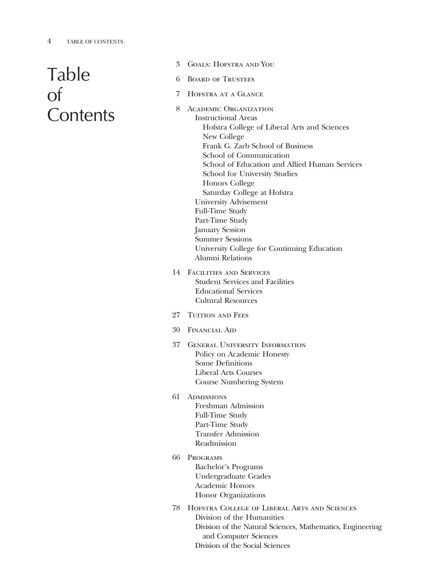## Table <sup>3</sup> GOALS: HOFSTRA AND YOU of **Contents**

- 
- 6 Board of Trustees
- 7 Hofstra at a Glance
- 8 Academic Organization Instructional Areas Hofstra College of Liberal Arts and Sciences New College Frank G. Zarb School of Business School of Communication School of Education and Allied Human Services School for University Studies Honors College Saturday College at Hofstra University Advisement Full-Time Study Part-Time Study January Session Summer Sessions University College for Continuing Education Alumni Relations
- 14 Facilities and Services Student Services and Facilities Educational Services Cultural Resources
- 27 TUITION AND FEES
- 30 Financial Aid
- 37 General University Information Policy on Academic Honesty Some Definitions Liberal Arts Courses Course Numbering System
- 61 Admissions Freshman Admission Full-Time Study Part-Time Study Transfer Admission Readmission
- 66 Programs Bachelor's Programs Undergraduate Grades Academic Honors Honor Organizations
- 78 Hofstra College of Liberal Arts and Sciences Division of the Humanities Division of the Natural Sciences, Mathematics, Engineering and Computer Sciences Division of the Social Sciences